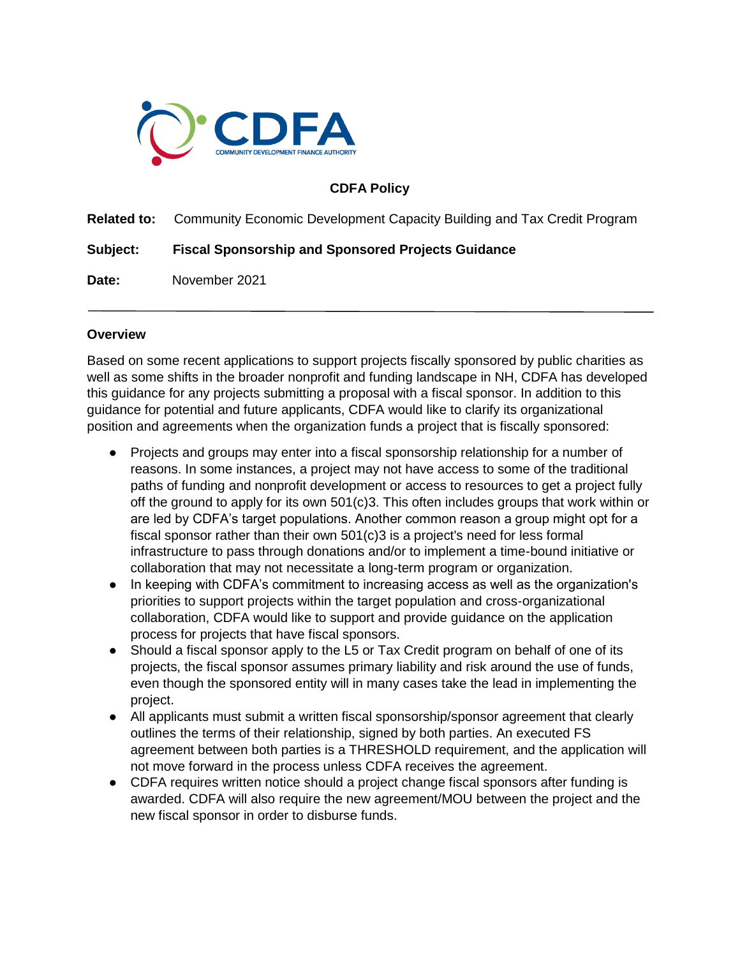

## **CDFA Policy**

**Related to:** Community Economic Development Capacity Building and Tax Credit Program

**Subject: Fiscal Sponsorship and Sponsored Projects Guidance**

**Date:** November 2021

## **Overview**

Based on some recent applications to support projects fiscally sponsored by public charities as well as some shifts in the broader nonprofit and funding landscape in NH, CDFA has developed this guidance for any projects submitting a proposal with a fiscal sponsor. In addition to this guidance for potential and future applicants, CDFA would like to clarify its organizational position and agreements when the organization funds a project that is fiscally sponsored:

- Projects and groups may enter into a fiscal sponsorship relationship for a number of reasons. In some instances, a project may not have access to some of the traditional paths of funding and nonprofit development or access to resources to get a project fully off the ground to apply for its own 501(c)3. This often includes groups that work within or are led by CDFA's target populations. Another common reason a group might opt for a fiscal sponsor rather than their own 501(c)3 is a project's need for less formal infrastructure to pass through donations and/or to implement a time-bound initiative or collaboration that may not necessitate a long-term program or organization.
- In keeping with CDFA's commitment to increasing access as well as the organization's priorities to support projects within the target population and cross-organizational collaboration, CDFA would like to support and provide guidance on the application process for projects that have fiscal sponsors.
- Should a fiscal sponsor apply to the L5 or Tax Credit program on behalf of one of its projects, the fiscal sponsor assumes primary liability and risk around the use of funds, even though the sponsored entity will in many cases take the lead in implementing the project.
- All applicants must submit a written fiscal sponsorship/sponsor agreement that clearly outlines the terms of their relationship, signed by both parties. An executed FS agreement between both parties is a THRESHOLD requirement, and the application will not move forward in the process unless CDFA receives the agreement.
- CDFA requires written notice should a project change fiscal sponsors after funding is awarded. CDFA will also require the new agreement/MOU between the project and the new fiscal sponsor in order to disburse funds.